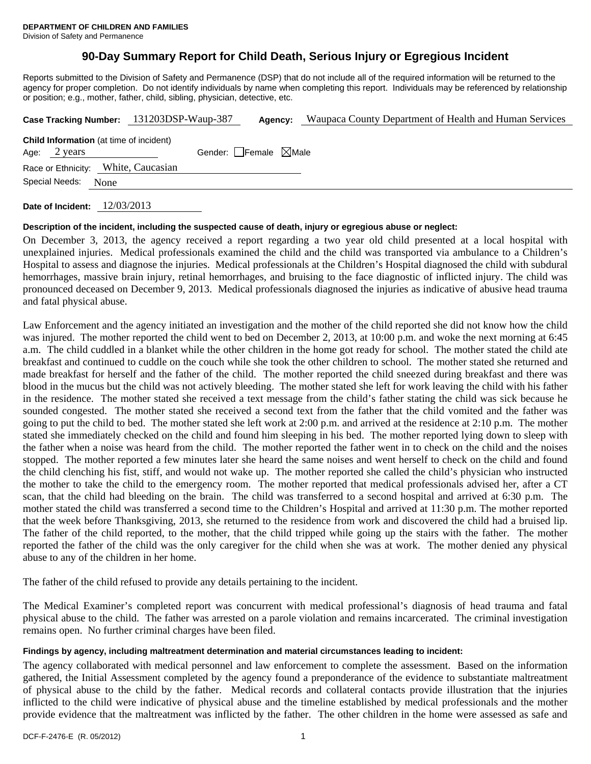# **90-Day Summary Report for Child Death, Serious Injury or Egregious Incident**

Reports submitted to the Division of Safety and Permanence (DSP) that do not include all of the required information will be returned to the agency for proper completion. Do not identify individuals by name when completing this report. Individuals may be referenced by relationship or position; e.g., mother, father, child, sibling, physician, detective, etc.

|                                                                | Case Tracking Number: 131203DSP-Waup-387 | Agency:                         | Waupaca County Department of Health and Human Services |
|----------------------------------------------------------------|------------------------------------------|---------------------------------|--------------------------------------------------------|
| <b>Child Information</b> (at time of incident)<br>Age: 2 years |                                          | Gender: Female $\boxtimes$ Male |                                                        |
| Race or Ethnicity: White, Caucasian                            |                                          |                                 |                                                        |
| Special Needs:<br>None                                         |                                          |                                 |                                                        |
|                                                                |                                          |                                 |                                                        |

**Date of Incident:** 12/03/2013

#### **Description of the incident, including the suspected cause of death, injury or egregious abuse or neglect:**

On December 3, 2013, the agency received a report regarding a two year old child presented at a local hospital with unexplained injuries. Medical professionals examined the child and the child was transported via ambulance to a Children's Hospital to assess and diagnose the injuries. Medical professionals at the Children's Hospital diagnosed the child with subdural hemorrhages, massive brain injury, retinal hemorrhages, and bruising to the face diagnostic of inflicted injury. The child was pronounced deceased on December 9, 2013. Medical professionals diagnosed the injuries as indicative of abusive head trauma and fatal physical abuse.

Law Enforcement and the agency initiated an investigation and the mother of the child reported she did not know how the child was injured. The mother reported the child went to bed on December 2, 2013, at 10:00 p.m. and woke the next morning at 6:45 a.m. The child cuddled in a blanket while the other children in the home got ready for school. The mother stated the child ate breakfast and continued to cuddle on the couch while she took the other children to school. The mother stated she returned and made breakfast for herself and the father of the child. The mother reported the child sneezed during breakfast and there was blood in the mucus but the child was not actively bleeding. The mother stated she left for work leaving the child with his father in the residence. The mother stated she received a text message from the child's father stating the child was sick because he sounded congested. The mother stated she received a second text from the father that the child vomited and the father was going to put the child to bed. The mother stated she left work at 2:00 p.m. and arrived at the residence at 2:10 p.m. The mother stated she immediately checked on the child and found him sleeping in his bed. The mother reported lying down to sleep with the father when a noise was heard from the child. The mother reported the father went in to check on the child and the noises stopped. The mother reported a few minutes later she heard the same noises and went herself to check on the child and found the child clenching his fist, stiff, and would not wake up. The mother reported she called the child's physician who instructed the mother to take the child to the emergency room. The mother reported that medical professionals advised her, after a CT scan, that the child had bleeding on the brain. The child was transferred to a second hospital and arrived at 6:30 p.m. The mother stated the child was transferred a second time to the Children's Hospital and arrived at 11:30 p.m. The mother reported that the week before Thanksgiving, 2013, she returned to the residence from work and discovered the child had a bruised lip. The father of the child reported, to the mother, that the child tripped while going up the stairs with the father. The mother reported the father of the child was the only caregiver for the child when she was at work. The mother denied any physical abuse to any of the children in her home.

The father of the child refused to provide any details pertaining to the incident.

The Medical Examiner's completed report was concurrent with medical professional's diagnosis of head trauma and fatal physical abuse to the child. The father was arrested on a parole violation and remains incarcerated. The criminal investigation remains open. No further criminal charges have been filed.

# **Findings by agency, including maltreatment determination and material circumstances leading to incident:**

The agency collaborated with medical personnel and law enforcement to complete the assessment. Based on the information gathered, the Initial Assessment completed by the agency found a preponderance of the evidence to substantiate maltreatment of physical abuse to the child by the father. Medical records and collateral contacts provide illustration that the injuries inflicted to the child were indicative of physical abuse and the timeline established by medical professionals and the mother provide evidence that the maltreatment was inflicted by the father. The other children in the home were assessed as safe and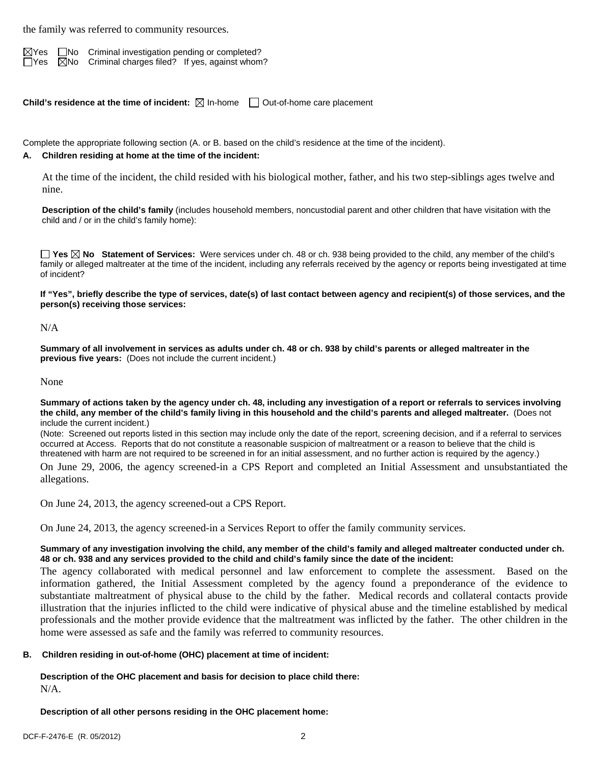the family was referred to community resources.

 $\boxtimes$ Yes  $\Box$ No Criminal investigation pending or completed?  $\Box$  Yes  $\boxtimes$  No Criminal charges filed? If yes, against whom?

**Child's residence at the time of incident:**  $\boxtimes$  In-home  $\Box$  Out-of-home care placement

Complete the appropriate following section (A. or B. based on the child's residence at the time of the incident).

### **A. Children residing at home at the time of the incident:**

At the time of the incident, the child resided with his biological mother, father, and his two step-siblings ages twelve and nine.

**Description of the child's family** (includes household members, noncustodial parent and other children that have visitation with the child and / or in the child's family home):

**Yes No Statement of Services:** Were services under ch. 48 or ch. 938 being provided to the child, any member of the child's family or alleged maltreater at the time of the incident, including any referrals received by the agency or reports being investigated at time of incident?

**If "Yes", briefly describe the type of services, date(s) of last contact between agency and recipient(s) of those services, and the person(s) receiving those services:** 

#### N/A

**Summary of all involvement in services as adults under ch. 48 or ch. 938 by child's parents or alleged maltreater in the previous five years:** (Does not include the current incident.)

#### None

**Summary of actions taken by the agency under ch. 48, including any investigation of a report or referrals to services involving the child, any member of the child's family living in this household and the child's parents and alleged maltreater.** (Does not include the current incident.)

(Note: Screened out reports listed in this section may include only the date of the report, screening decision, and if a referral to services occurred at Access. Reports that do not constitute a reasonable suspicion of maltreatment or a reason to believe that the child is threatened with harm are not required to be screened in for an initial assessment, and no further action is required by the agency.)

On June 29, 2006, the agency screened-in a CPS Report and completed an Initial Assessment and unsubstantiated the allegations.

On June 24, 2013, the agency screened-out a CPS Report.

On June 24, 2013, the agency screened-in a Services Report to offer the family community services.

# **Summary of any investigation involving the child, any member of the child's family and alleged maltreater conducted under ch. 48 or ch. 938 and any services provided to the child and child's family since the date of the incident:**

The agency collaborated with medical personnel and law enforcement to complete the assessment. Based on the information gathered, the Initial Assessment completed by the agency found a preponderance of the evidence to substantiate maltreatment of physical abuse to the child by the father. Medical records and collateral contacts provide illustration that the injuries inflicted to the child were indicative of physical abuse and the timeline established by medical professionals and the mother provide evidence that the maltreatment was inflicted by the father. The other children in the home were assessed as safe and the family was referred to community resources.

# **B. Children residing in out-of-home (OHC) placement at time of incident:**

**Description of the OHC placement and basis for decision to place child there:** N/A.

**Description of all other persons residing in the OHC placement home:**